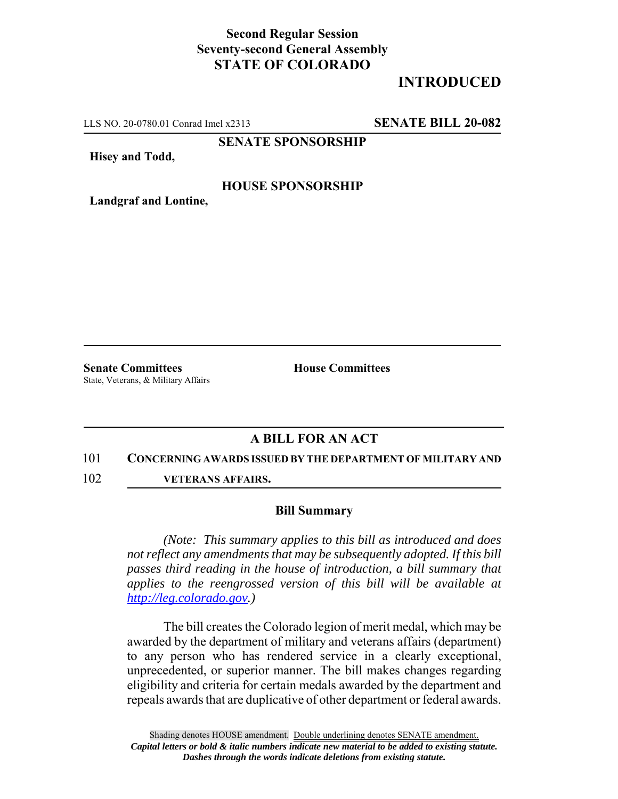# **Second Regular Session Seventy-second General Assembly STATE OF COLORADO**

# **INTRODUCED**

LLS NO. 20-0780.01 Conrad Imel x2313 **SENATE BILL 20-082**

**SENATE SPONSORSHIP**

**Hisey and Todd,**

### **HOUSE SPONSORSHIP**

**Landgraf and Lontine,**

**Senate Committees House Committees** State, Veterans, & Military Affairs

## **A BILL FOR AN ACT**

#### 101 **CONCERNING AWARDS ISSUED BY THE DEPARTMENT OF MILITARY AND**

102 **VETERANS AFFAIRS.**

### **Bill Summary**

*(Note: This summary applies to this bill as introduced and does not reflect any amendments that may be subsequently adopted. If this bill passes third reading in the house of introduction, a bill summary that applies to the reengrossed version of this bill will be available at http://leg.colorado.gov.)*

The bill creates the Colorado legion of merit medal, which may be awarded by the department of military and veterans affairs (department) to any person who has rendered service in a clearly exceptional, unprecedented, or superior manner. The bill makes changes regarding eligibility and criteria for certain medals awarded by the department and repeals awards that are duplicative of other department or federal awards.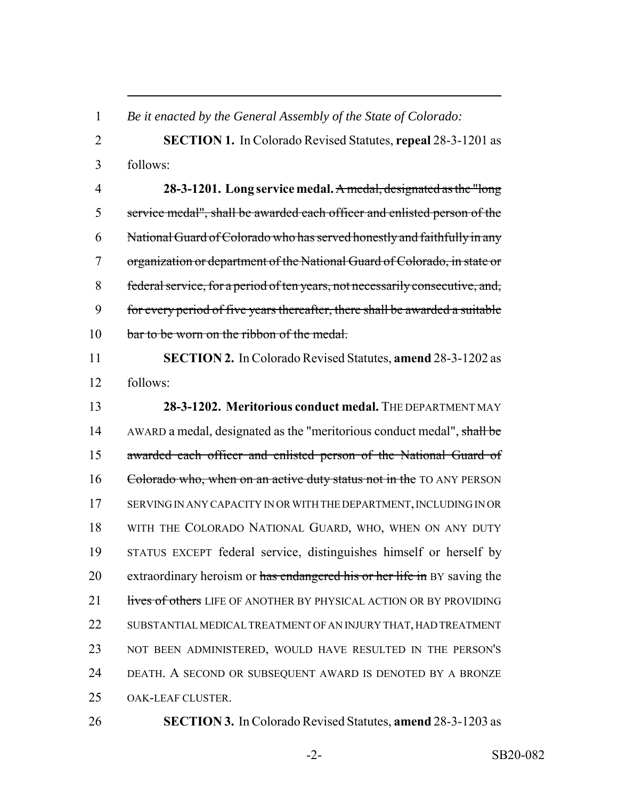*Be it enacted by the General Assembly of the State of Colorado:*

 **SECTION 1.** In Colorado Revised Statutes, **repeal** 28-3-1201 as follows:

 **28-3-1201. Long service medal.** A medal, designated as the "long service medal", shall be awarded each officer and enlisted person of the National Guard of Colorado who has served honestly and faithfully in any organization or department of the National Guard of Colorado, in state or federal service, for a period of ten years, not necessarily consecutive, and, for every period of five years thereafter, there shall be awarded a suitable 10 bar to be worn on the ribbon of the medal.

 **SECTION 2.** In Colorado Revised Statutes, **amend** 28-3-1202 as follows:

 **28-3-1202. Meritorious conduct medal.** THE DEPARTMENT MAY 14 AWARD a medal, designated as the "meritorious conduct medal", shall be awarded each officer and enlisted person of the National Guard of 16 Colorado who, when on an active duty status not in the TO ANY PERSON SERVING IN ANY CAPACITY IN OR WITH THE DEPARTMENT, INCLUDING IN OR WITH THE COLORADO NATIONAL GUARD, WHO, WHEN ON ANY DUTY STATUS EXCEPT federal service, distinguishes himself or herself by 20 extraordinary heroism or has endangered his or her life in BY saving the 21 lives of others LIFE OF ANOTHER BY PHYSICAL ACTION OR BY PROVIDING SUBSTANTIAL MEDICAL TREATMENT OF AN INJURY THAT, HAD TREATMENT NOT BEEN ADMINISTERED, WOULD HAVE RESULTED IN THE PERSON'S DEATH. A SECOND OR SUBSEQUENT AWARD IS DENOTED BY A BRONZE OAK-LEAF CLUSTER.

**SECTION 3.** In Colorado Revised Statutes, **amend** 28-3-1203 as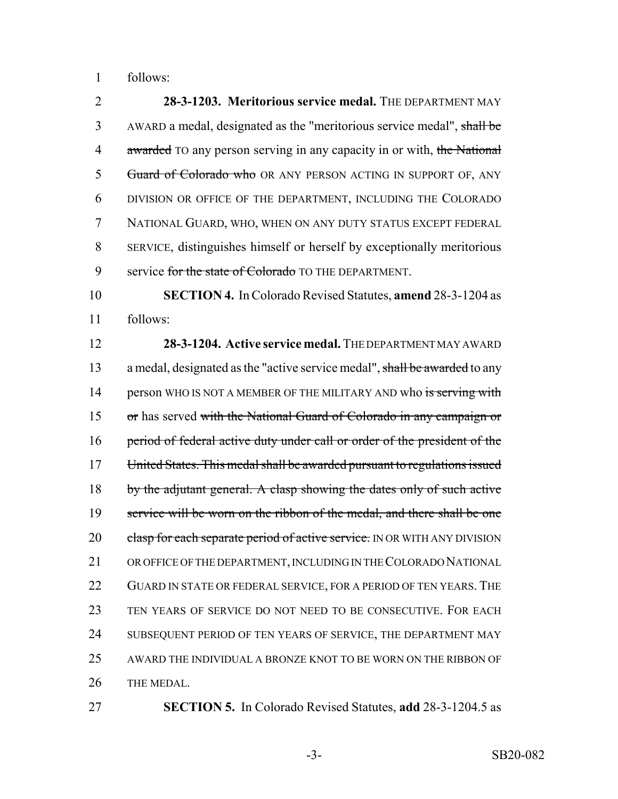follows:

 **28-3-1203. Meritorious service medal.** THE DEPARTMENT MAY AWARD a medal, designated as the "meritorious service medal", shall be 4 awarded TO any person serving in any capacity in or with, the National 5 Guard of Colorado who OR ANY PERSON ACTING IN SUPPORT OF, ANY DIVISION OR OFFICE OF THE DEPARTMENT, INCLUDING THE COLORADO NATIONAL GUARD, WHO, WHEN ON ANY DUTY STATUS EXCEPT FEDERAL SERVICE, distinguishes himself or herself by exceptionally meritorious 9 service for the state of Colorado TO THE DEPARTMENT. **SECTION 4.** In Colorado Revised Statutes, **amend** 28-3-1204 as follows: **28-3-1204. Active service medal.** THE DEPARTMENT MAY AWARD 13 a medal, designated as the "active service medal", shall be awarded to any 14 person WHO IS NOT A MEMBER OF THE MILITARY AND who is serving with or has served with the National Guard of Colorado in any campaign or

16 period of federal active duty under call or order of the president of the United States. This medal shall be awarded pursuant to regulations issued 18 by the adjutant general. A clasp showing the dates only of such active 19 service will be worn on the ribbon of the medal, and there shall be one 20 clasp for each separate period of active service. IN OR WITH ANY DIVISION OR OFFICE OF THE DEPARTMENT, INCLUDING IN THE COLORADO NATIONAL 22 GUARD IN STATE OR FEDERAL SERVICE, FOR A PERIOD OF TEN YEARS. THE TEN YEARS OF SERVICE DO NOT NEED TO BE CONSECUTIVE. FOR EACH SUBSEQUENT PERIOD OF TEN YEARS OF SERVICE, THE DEPARTMENT MAY AWARD THE INDIVIDUAL A BRONZE KNOT TO BE WORN ON THE RIBBON OF THE MEDAL.

**SECTION 5.** In Colorado Revised Statutes, **add** 28-3-1204.5 as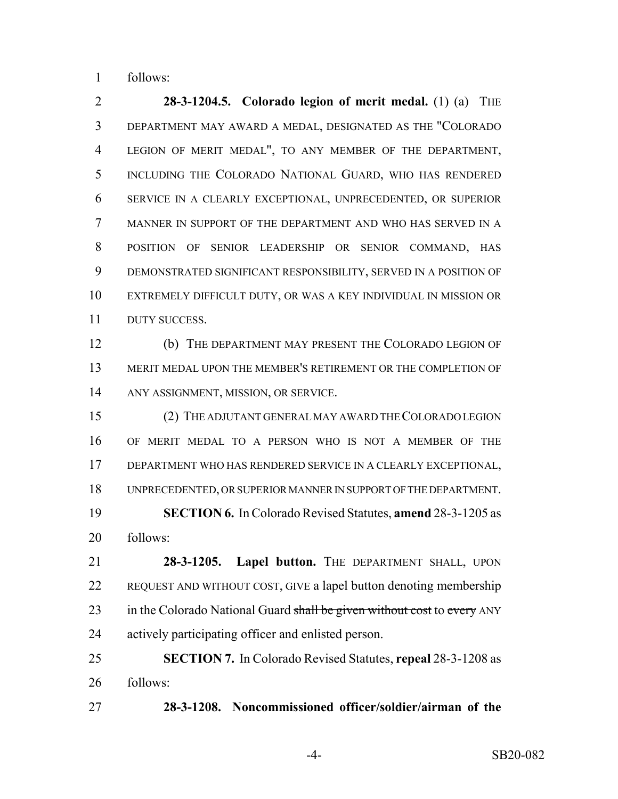follows:

 **28-3-1204.5. Colorado legion of merit medal.** (1) (a) THE DEPARTMENT MAY AWARD A MEDAL, DESIGNATED AS THE "COLORADO LEGION OF MERIT MEDAL", TO ANY MEMBER OF THE DEPARTMENT, INCLUDING THE COLORADO NATIONAL GUARD, WHO HAS RENDERED SERVICE IN A CLEARLY EXCEPTIONAL, UNPRECEDENTED, OR SUPERIOR MANNER IN SUPPORT OF THE DEPARTMENT AND WHO HAS SERVED IN A POSITION OF SENIOR LEADERSHIP OR SENIOR COMMAND, HAS DEMONSTRATED SIGNIFICANT RESPONSIBILITY, SERVED IN A POSITION OF EXTREMELY DIFFICULT DUTY, OR WAS A KEY INDIVIDUAL IN MISSION OR DUTY SUCCESS.

 (b) THE DEPARTMENT MAY PRESENT THE COLORADO LEGION OF MERIT MEDAL UPON THE MEMBER'S RETIREMENT OR THE COMPLETION OF ANY ASSIGNMENT, MISSION, OR SERVICE.

 (2) THE ADJUTANT GENERAL MAY AWARD THE COLORADO LEGION OF MERIT MEDAL TO A PERSON WHO IS NOT A MEMBER OF THE DEPARTMENT WHO HAS RENDERED SERVICE IN A CLEARLY EXCEPTIONAL, UNPRECEDENTED, OR SUPERIOR MANNER IN SUPPORT OF THE DEPARTMENT. **SECTION 6.** In Colorado Revised Statutes, **amend** 28-3-1205 as follows:

 **28-3-1205. Lapel button.** THE DEPARTMENT SHALL, UPON REQUEST AND WITHOUT COST, GIVE a lapel button denoting membership 23 in the Colorado National Guard shall be given without cost to every ANY actively participating officer and enlisted person.

 **SECTION 7.** In Colorado Revised Statutes, **repeal** 28-3-1208 as follows:

**28-3-1208. Noncommissioned officer/soldier/airman of the**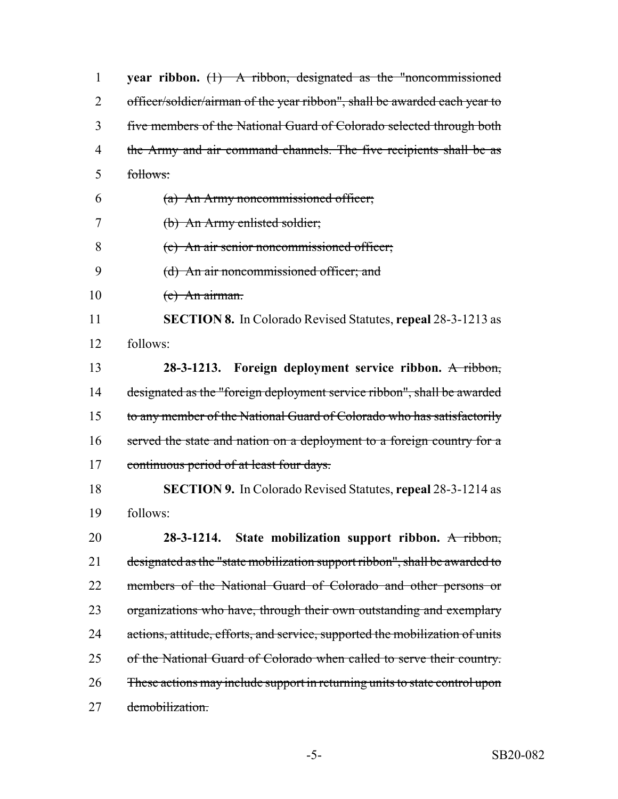**year ribbon.** (1) A ribbon, designated as the "noncommissioned 2 officer/soldier/airman of the year ribbon", shall be awarded each year to five members of the National Guard of Colorado selected through both 4 the Army and air command channels. The five recipients shall be as follows: (a) An Army noncommissioned officer; (b) An Army enlisted soldier; (c) An air senior noncommissioned officer; (d) An air noncommissioned officer; and  $(e)$  An airman. **SECTION 8.** In Colorado Revised Statutes, **repeal** 28-3-1213 as follows: **28-3-1213. Foreign deployment service ribbon.** A ribbon, designated as the "foreign deployment service ribbon", shall be awarded to any member of the National Guard of Colorado who has satisfactorily 16 served the state and nation on a deployment to a foreign country for a 17 continuous period of at least four days. **SECTION 9.** In Colorado Revised Statutes, **repeal** 28-3-1214 as follows: **28-3-1214. State mobilization support ribbon.** A ribbon, designated as the "state mobilization support ribbon", shall be awarded to 22 members of the National Guard of Colorado and other persons or organizations who have, through their own outstanding and exemplary 24 actions, attitude, efforts, and service, supported the mobilization of units of the National Guard of Colorado when called to serve their country. These actions may include support in returning units to state control upon 27 demobilization.